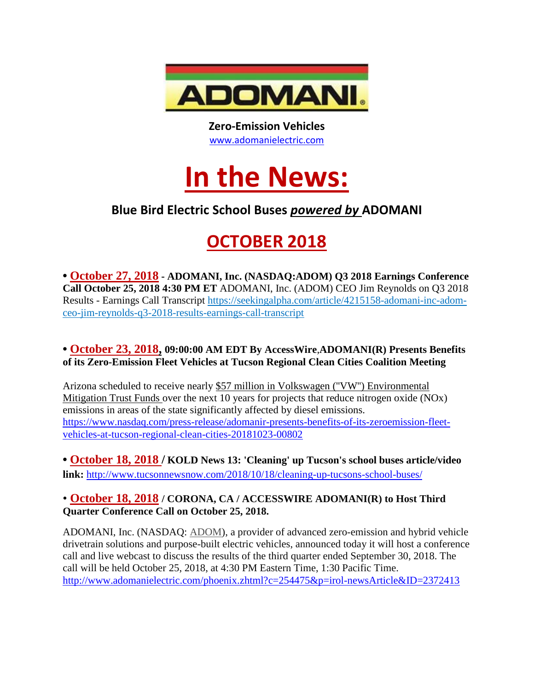

**Zero-Emission Vehicles** [www.adomanielectric.com](http://www.adomanielectric.com/)

# **In the News:**

### **Blue Bird Electric School Buses** *powered by* **ADOMANI**

## **OCTOBER 2018**

**• October 27, 2018 - ADOMANI, Inc. (NASDAQ:ADOM) Q3 2018 Earnings Conference Call October 25, 2018 4:30 PM ET** ADOMANI, Inc. (ADOM) CEO Jim Reynolds on Q3 2018 Results - Earnings Call Transcript https://seekingalpha.com/article/4215158-adomani-inc-adomceo-jim-reynolds-q3-2018-results-earnings-call-transcript

#### **• October 23, 2018, 09:00:00 AM EDT By AccessWire**,**ADOMANI(R) Presents Benefits of its Zero-Emission Fleet Vehicles at Tucson Regional Clean Cities Coalition Meeting**

Arizona scheduled to receive nearly [\\$57 million in Volkswagen \(''VW''\) Environmental](http://pr.report/dRPZNlC8)  [Mitigation Trust Funds](http://pr.report/dRPZNlC8) over the next 10 years for projects that reduce nitrogen oxide (NOx) emissions in areas of the state significantly affected by diesel emissions. [https://www.nasdaq.com/press-release/adomanir-presents-benefits-of-its-zeroemission-fleet](https://www.nasdaq.com/press-release/adomanir-presents-benefits-of-its-zeroemission-fleet-vehicles-at-tucson-regional-clean-cities-20181023-00802)[vehicles-at-tucson-regional-clean-cities-20181023-00802](https://www.nasdaq.com/press-release/adomanir-presents-benefits-of-its-zeroemission-fleet-vehicles-at-tucson-regional-clean-cities-20181023-00802)

**• October 18, 2018 / KOLD News 13: 'Cleaning' up Tucson's school buses article/video link:** [http://www.tucsonnewsnow.com/2018/10/18/cleaning-up-tucsons-school-buses/](http://pr.report/CdQHzrSu)

#### • **October 18, 2018 / CORONA, CA / ACCESSWIRE ADOMANI(R) to Host Third Quarter Conference Call on October 25, 2018.**

ADOMANI, Inc. (NASDAQ: [ADOM\)](http://pr.report/NCP10dzZ), a provider of advanced zero-emission and hybrid vehicle drivetrain solutions and purpose-built electric vehicles, announced today it will host a conference call and live webcast to discuss the results of the third quarter ended September 30, 2018. The call will be held October 25, 2018, at 4:30 PM Eastern Time, 1:30 Pacific Time. <http://www.adomanielectric.com/phoenix.zhtml?c=254475&p=irol-newsArticle&ID=2372413>